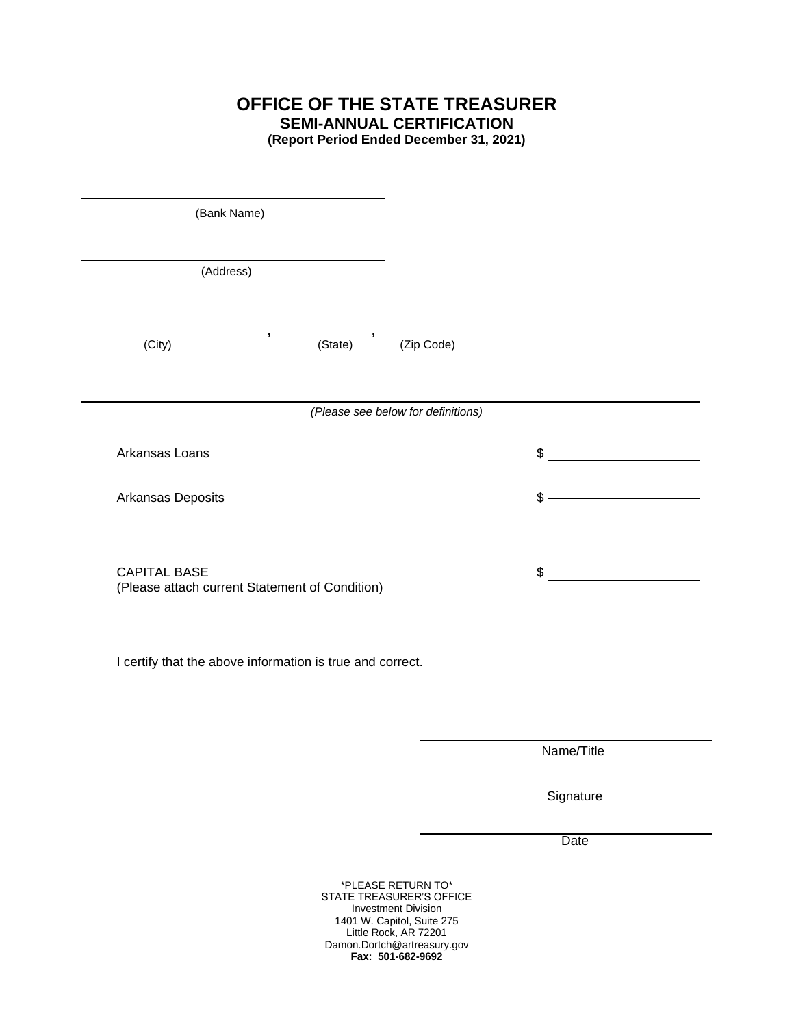**OFFICE OF THE STATE TREASURER SEMI-ANNUAL CERTIFICATION**

**(Report Period Ended December 31, 2021)**

| (Bank Name)<br>(Address)                                              |                                     |                                    |    |
|-----------------------------------------------------------------------|-------------------------------------|------------------------------------|----|
|                                                                       |                                     |                                    |    |
| $\overline{\phantom{a}}$<br>(City)                                    | $\overline{\phantom{a}}$<br>(State) | (Zip Code)                         |    |
| Arkansas Loans                                                        |                                     | (Please see below for definitions) | \$ |
| Arkansas Deposits                                                     |                                     |                                    | \$ |
| <b>CAPITAL BASE</b><br>(Please attach current Statement of Condition) |                                     |                                    | \$ |
| I certify that the above information is true and correct.             |                                     |                                    |    |
|                                                                       |                                     |                                    |    |

Name/Title

**Signature** 

**Date** 

\*PLEASE RETURN TO\* STATE TREASURER'S OFFICE Investment Division 1401 W. Capitol, Suite 275 Little Rock, AR 72201 Damon.Dortch@artreasury.gov **Fax: 501-682-9692**